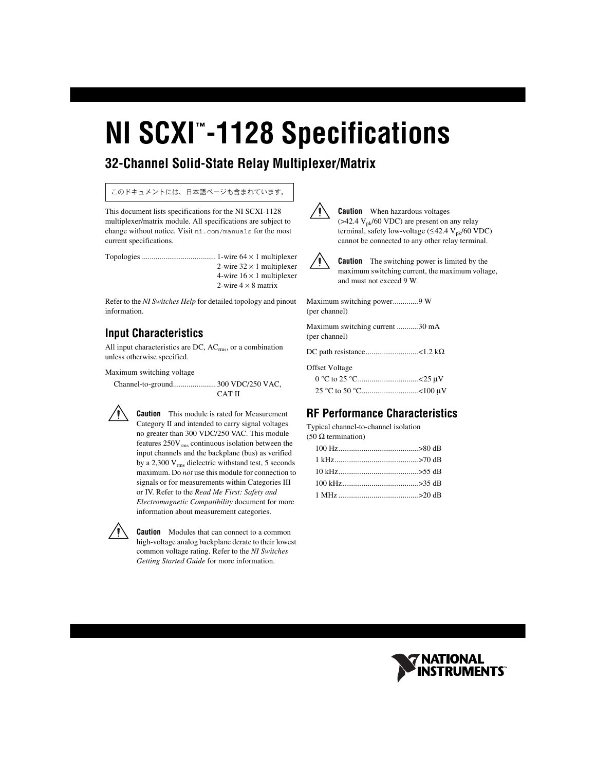# **NI SCXI<sup>™</sup>-1128 Specifications**

# **32-Channel Solid-State Relay Multiplexer/Matrix**

#### このドキュメントには、日本語ページも含まれています。

This document lists specifications for the NI SCXI-1128 multiplexer/matrix module. All specifications are subject to change without notice. Visit ni.com/manuals for the most current specifications.

| 2-wire $32 \times 1$ multiplexer |
|----------------------------------|
| 4-wire $16 \times 1$ multiplexer |
| 2-wire $4 \times 8$ matrix       |

Refer to the *NI Switches Help* for detailed topology and pinout information.

## **Input Characteristics**

All input characteristics are DC,  $AC_{rms}$ , or a combination unless otherwise specified.

#### Maximum switching voltage

Channel-to-ground...................... 300 VDC/250 VAC, CAT II



**Caution** This module is rated for Measurement Category II and intended to carry signal voltages no greater than 300 VDC/250 VAC. This module features  $250V<sub>rms</sub>$  continuous isolation between the input channels and the backplane (bus) as verified by a 2,300  $V_{rms}$  dielectric withstand test, 5 seconds maximum. Do *not* use this module for connection to signals or for measurements within Categories III or IV. Refer to the *Read Me First: Safety and Electromagnetic Compatibility* document for more information about measurement categories.



**Caution** Modules that can connect to a common high-voltage analog backplane derate to their lowest common voltage rating. Refer to the *NI Switches Getting Started Guide* for more information.



**Caution** When hazardous voltages  $(>42.4$  V<sub>pk</sub>/60 VDC) are present on any relay terminal, safety low-voltage ( $\leq$ 42.4 V<sub>pk</sub>/60 VDC) cannot be connected to any other relay terminal.

**Caution** The switching power is limited by the maximum switching current, the maximum voltage, and must not exceed 9 W.

Maximum switching power.............9 W (per channel)

Maximum switching current ...........30 mA (per channel)

DC path resistance...........................<1.2 kΩ Offset Voltage

## **RF Performance Characteristics**

Typical channel-to-channel isolation (50 Ω termination)

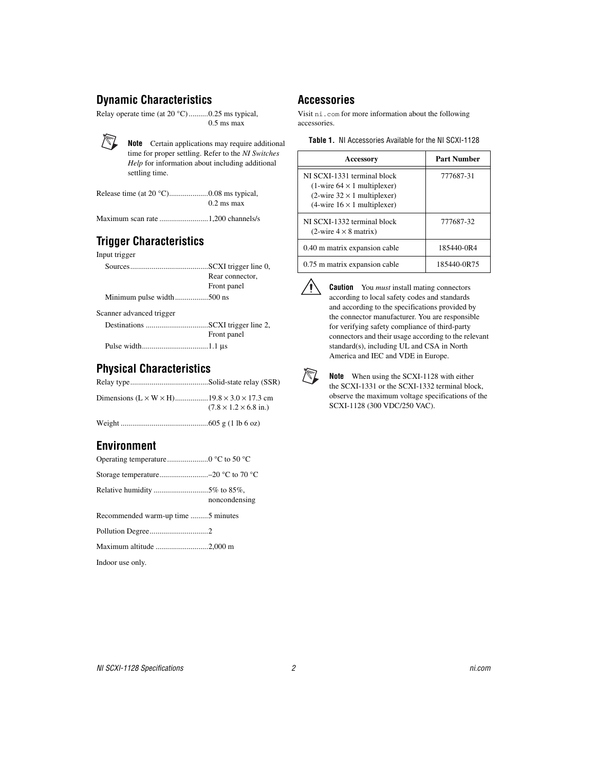## **Dynamic Characteristics**

Relay operate time (at 20 °C)..........0.25 ms typical, 0.5 ms max

**Note** Certain applications may require additional time for proper settling. Refer to the *NI Switches Help* for information about including additional settling time.

Release time (at 20 °C)....................0.08 ms typical, 0.2 ms max

Maximum scan rate .........................1,200 channels/s

## **Trigger Characteristics**

#### Input trigger

|                           | Rear connector,                    |
|---------------------------|------------------------------------|
|                           | Front panel                        |
| Minimum pulse width500 ns |                                    |
| Scanner advanced trigger  |                                    |
| .                         | $\sim$ $\sim$ $\sim$ $\sim$ $\sim$ |

| Front panel |
|-------------|
|             |

#### **Physical Characteristics**

| $Dimendone (I \vee W \vee H)$ | $10.0 \times 2.0 \times 17.2 \text{ nm}$ |  |  |
|-------------------------------|------------------------------------------|--|--|

| $(7.8 \times 1.2 \times 6.8 \text{ in.})$ |
|-------------------------------------------|
|                                           |

## **Environment**

| Relative humidity 5% to 85%,       | noncondensing |
|------------------------------------|---------------|
| Recommended warm-up time 5 minutes |               |
|                                    |               |

Indoor use only.

## **Accessories**

Visit ni.com for more information about the following accessories.

| <b>Table 1.</b> NI Accessories Available for the NI SCXI-1128 |  |  |  |  |  |
|---------------------------------------------------------------|--|--|--|--|--|
|---------------------------------------------------------------|--|--|--|--|--|

| Accessory                                                                                                                                                                          | <b>Part Number</b> |
|------------------------------------------------------------------------------------------------------------------------------------------------------------------------------------|--------------------|
| NI SCXI-1331 terminal block<br>$(1\text{-wire } 64 \times 1 \text{ multiplexer})$<br>$(2\text{-wire }32\times1$ multiplexer)<br>$(4\text{-wire } 16 \times 1 \text{ multiplexer})$ | 777687-31          |
| NI SCXI-1332 terminal block<br>$(2\text{-wire } 4 \times 8 \text{ matrix})$                                                                                                        | 777687-32          |
| 0.40 m matrix expansion cable                                                                                                                                                      | 185440-0R4         |
| 0.75 m matrix expansion cable                                                                                                                                                      | 185440-0R75        |



**Caution** You *must* install mating connectors according to local safety codes and standards and according to the specifications provided by the connector manufacturer. You are responsible for verifying safety compliance of third-party connectors and their usage according to the relevant standard(s), including UL and CSA in North America and IEC and VDE in Europe.



**Note** When using the SCXI-1128 with either the SCXI-1331 or the SCXI-1332 terminal block, observe the maximum voltage specifications of the SCXI-1128 (300 VDC/250 VAC).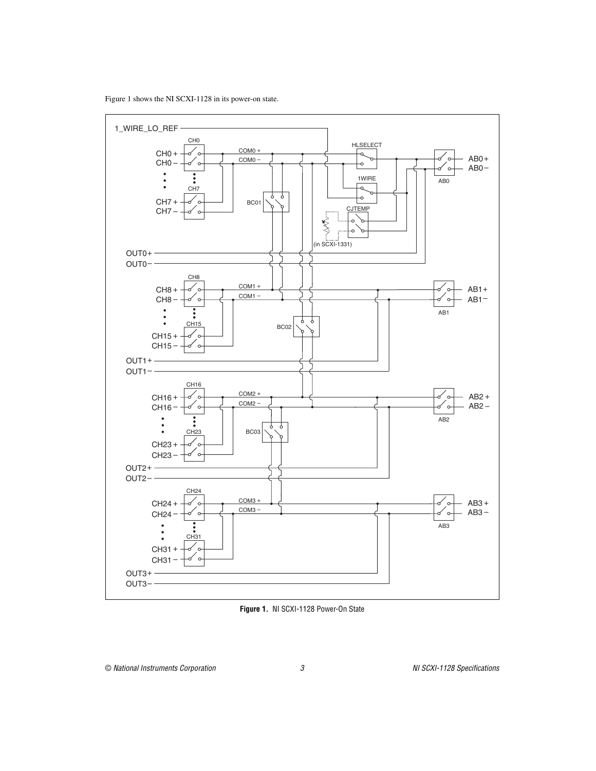

<span id="page-2-0"></span>**Figure 1.** NI SCXI-1128 Power-On State